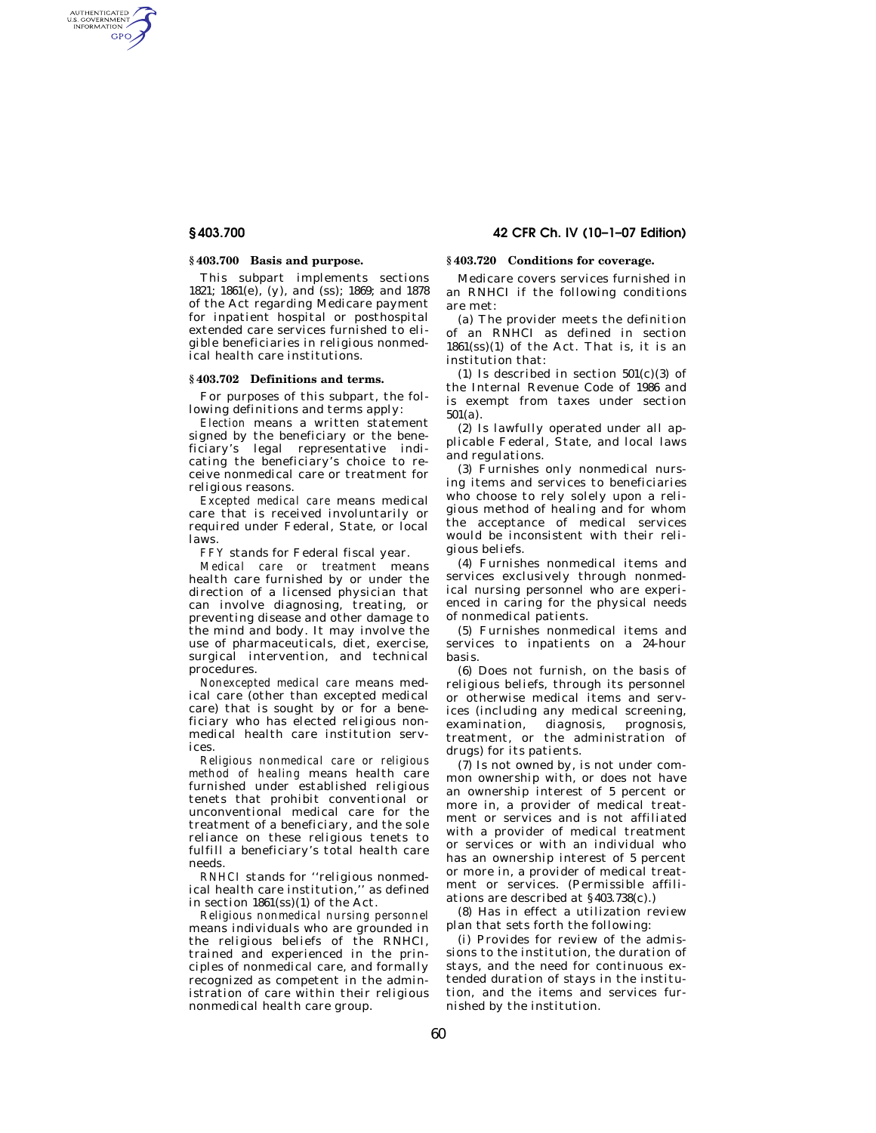# **§ 403.700 42 CFR Ch. IV (10–1–07 Edition)**

AUTHENTICATED<br>U.S. GOVERNMENT<br>INFORMATION GPO

# **§ 403.700 Basis and purpose.**

This subpart implements sections 1821; 1861(e), (y), and (ss); 1869; and 1878 of the Act regarding Medicare payment for inpatient hospital or posthospital extended care services furnished to eligible beneficiaries in religious nonmedical health care institutions.

## **§ 403.702 Definitions and terms.**

For purposes of this subpart, the following definitions and terms apply:

*Election* means a written statement signed by the beneficiary or the beneficiary's legal representative indicating the beneficiary's choice to receive nonmedical care or treatment for religious reasons.

*Excepted medical care* means medical care that is received involuntarily or required under Federal, State, or local laws.

*FFY* stands for Federal fiscal year.

*Medical care or treatment* means health care furnished by or under the direction of a licensed physician that can involve diagnosing, treating, or preventing disease and other damage to the mind and body. It may involve the use of pharmaceuticals, diet, exercise, surgical intervention, and technical procedures.

*Nonexcepted medical care* means medical care (other than excepted medical care) that is sought by or for a beneficiary who has elected religious nonmedical health care institution services.

*Religious nonmedical care or religious method of healing* means health care furnished under established religious tenets that prohibit conventional or unconventional medical care for the treatment of a beneficiary, and the sole reliance on these religious tenets to fulfill a beneficiary's total health care needs.

*RNHCI* stands for ''religious nonmedical health care institution,'' as defined in section 1861(ss)(1) of the Act.

*Religious nonmedical nursing personnel*  means individuals who are grounded in the religious beliefs of the RNHCI, trained and experienced in the principles of nonmedical care, and formally recognized as competent in the administration of care within their religious nonmedical health care group.

### **§ 403.720 Conditions for coverage.**

Medicare covers services furnished in an RNHCI if the following conditions are met:

(a) The provider meets the definition of an RNHCI as defined in section  $1861(s)$ (1) of the Act. That is, it is an institution that:

(1) Is described in section  $501(c)(3)$  of the Internal Revenue Code of 1986 and is exempt from taxes under section 501(a).

(2) Is lawfully operated under all applicable Federal, State, and local laws and regulations.

(3) Furnishes only nonmedical nursing items and services to beneficiaries who choose to rely solely upon a religious method of healing and for whom the acceptance of medical services would be inconsistent with their religious beliefs.

(4) Furnishes nonmedical items and services exclusively through nonmedical nursing personnel who are experienced in caring for the physical needs of nonmedical patients.

(5) Furnishes nonmedical items and services to inpatients on a 24-hour basis.

(6) Does not furnish, on the basis of religious beliefs, through its personnel or otherwise medical items and services (including any medical screening, examination, diagnosis, prognosis, treatment, or the administration of drugs) for its patients.

(7) Is not owned by, is not under common ownership with, or does not have an ownership interest of 5 percent or more in, a provider of medical treatment or services and is not affiliated with a provider of medical treatment or services or with an individual who has an ownership interest of 5 percent or more in, a provider of medical treatment or services. (Permissible affiliations are described at §403.738(c).)

(8) Has in effect a utilization review plan that sets forth the following:

(i) Provides for review of the admissions to the institution, the duration of stays, and the need for continuous extended duration of stays in the institution, and the items and services furnished by the institution.